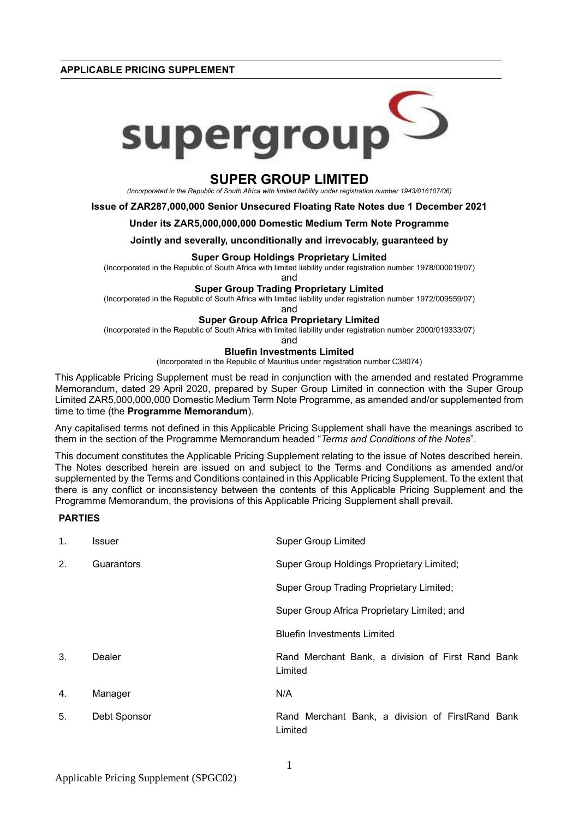**APPLICABLE PRICING SUPPLEMENT**



# **SUPER GROUP LIMITED**

*(Incorporated in the Republic of South Africa with limited liability under registration number 1943/016107/06)*

**Issue of ZAR287,000,000 Senior Unsecured Floating Rate Notes due 1 December 2021**

### **Under its ZAR5,000,000,000 Domestic Medium Term Note Programme**

**Jointly and severally, unconditionally and irrevocably, guaranteed by**

### **Super Group Holdings Proprietary Limited**

(Incorporated in the Republic of South Africa with limited liability under registration number 1978/000019/07)

and

### **Super Group Trading Proprietary Limited**

(Incorporated in the Republic of South Africa with limited liability under registration number 1972/009559/07)

and

# **Super Group Africa Proprietary Limited**

(Incorporated in the Republic of South Africa with limited liability under registration number 2000/019333/07)

and

## **Bluefin Investments Limited**

(Incorporated in the Republic of Mauritius under registration number C38074)

This Applicable Pricing Supplement must be read in conjunction with the amended and restated Programme Memorandum, dated 29 April 2020, prepared by Super Group Limited in connection with the Super Group Limited ZAR5,000,000,000 Domestic Medium Term Note Programme, as amended and/or supplemented from time to time (the **Programme Memorandum**).

Any capitalised terms not defined in this Applicable Pricing Supplement shall have the meanings ascribed to them in the section of the Programme Memorandum headed "*Terms and Conditions of the Notes*".

This document constitutes the Applicable Pricing Supplement relating to the issue of Notes described herein. The Notes described herein are issued on and subject to the Terms and Conditions as amended and/or supplemented by the Terms and Conditions contained in this Applicable Pricing Supplement. To the extent that there is any conflict or inconsistency between the contents of this Applicable Pricing Supplement and the Programme Memorandum, the provisions of this Applicable Pricing Supplement shall prevail.

# **PARTIES**

| 1. | Issuer       | <b>Super Group Limited</b>                                   |  |  |  |
|----|--------------|--------------------------------------------------------------|--|--|--|
| 2. | Guarantors   | Super Group Holdings Proprietary Limited;                    |  |  |  |
|    |              | Super Group Trading Proprietary Limited;                     |  |  |  |
|    |              | Super Group Africa Proprietary Limited; and                  |  |  |  |
|    |              | <b>Bluefin Investments Limited</b>                           |  |  |  |
| 3. | Dealer       | Rand Merchant Bank, a division of First Rand Bank<br>Limited |  |  |  |
| 4. | Manager      | N/A                                                          |  |  |  |
| 5. | Debt Sponsor | Rand Merchant Bank, a division of FirstRand Bank<br>Limited  |  |  |  |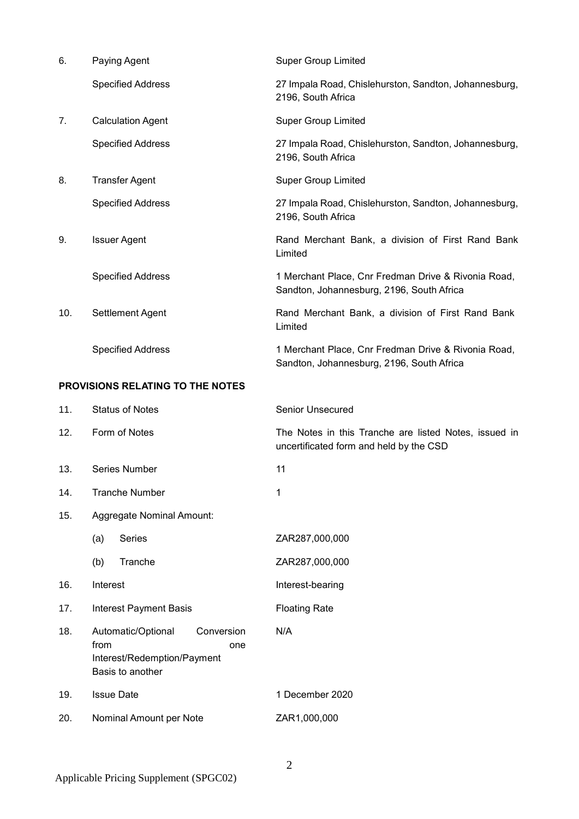| 6.                                      | Paying Agent             | <b>Super Group Limited</b>                                                                       |  |  |
|-----------------------------------------|--------------------------|--------------------------------------------------------------------------------------------------|--|--|
|                                         | <b>Specified Address</b> | 27 Impala Road, Chislehurston, Sandton, Johannesburg,<br>2196, South Africa                      |  |  |
| 7.                                      | <b>Calculation Agent</b> | <b>Super Group Limited</b>                                                                       |  |  |
|                                         | <b>Specified Address</b> | 27 Impala Road, Chislehurston, Sandton, Johannesburg,<br>2196, South Africa                      |  |  |
| 8.                                      | <b>Transfer Agent</b>    | <b>Super Group Limited</b>                                                                       |  |  |
|                                         | <b>Specified Address</b> | 27 Impala Road, Chislehurston, Sandton, Johannesburg,<br>2196, South Africa                      |  |  |
| 9.                                      | <b>Issuer Agent</b>      | Rand Merchant Bank, a division of First Rand Bank<br>Limited                                     |  |  |
|                                         | <b>Specified Address</b> | 1 Merchant Place, Cnr Fredman Drive & Rivonia Road,<br>Sandton, Johannesburg, 2196, South Africa |  |  |
| 10.                                     | Settlement Agent         | Rand Merchant Bank, a division of First Rand Bank<br>Limited                                     |  |  |
|                                         | <b>Specified Address</b> | 1 Merchant Place, Cnr Fredman Drive & Rivonia Road,<br>Sandton, Johannesburg, 2196, South Africa |  |  |
| <b>PROVISIONS RELATING TO THE NOTES</b> |                          |                                                                                                  |  |  |

| 11. | <b>Status of Notes</b>                                                                             | <b>Senior Unsecured</b>                                                                          |  |  |  |
|-----|----------------------------------------------------------------------------------------------------|--------------------------------------------------------------------------------------------------|--|--|--|
| 12. | Form of Notes                                                                                      | The Notes in this Tranche are listed Notes, issued in<br>uncertificated form and held by the CSD |  |  |  |
| 13. | Series Number                                                                                      | 11                                                                                               |  |  |  |
| 14. | <b>Tranche Number</b>                                                                              | 1                                                                                                |  |  |  |
| 15. | Aggregate Nominal Amount:                                                                          |                                                                                                  |  |  |  |
|     | Series<br>(a)                                                                                      | ZAR287,000,000                                                                                   |  |  |  |
|     | (b)<br>Tranche                                                                                     | ZAR287,000,000                                                                                   |  |  |  |
| 16. | Interest                                                                                           | Interest-bearing                                                                                 |  |  |  |
| 17. | <b>Interest Payment Basis</b>                                                                      | <b>Floating Rate</b>                                                                             |  |  |  |
| 18. | Conversion<br>Automatic/Optional<br>from<br>one<br>Interest/Redemption/Payment<br>Basis to another | N/A                                                                                              |  |  |  |
| 19. | <b>Issue Date</b>                                                                                  | 1 December 2020                                                                                  |  |  |  |
| 20. | Nominal Amount per Note                                                                            | ZAR1,000,000                                                                                     |  |  |  |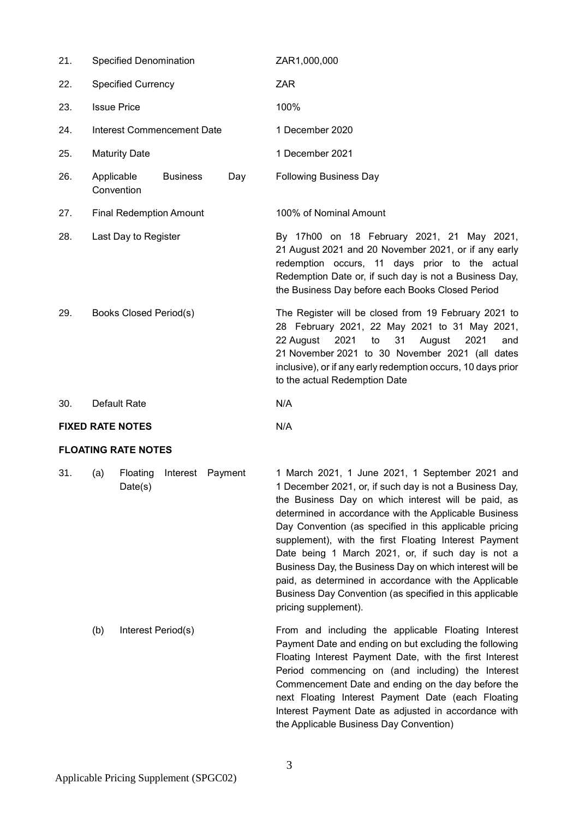| 21. | <b>Specified Denomination</b>     |                 |     | ZAR1,000,000                                                                                                                                                                                                                                                                                                        |  |  |  |
|-----|-----------------------------------|-----------------|-----|---------------------------------------------------------------------------------------------------------------------------------------------------------------------------------------------------------------------------------------------------------------------------------------------------------------------|--|--|--|
| 22. | <b>Specified Currency</b>         |                 |     | <b>ZAR</b>                                                                                                                                                                                                                                                                                                          |  |  |  |
| 23. | <b>Issue Price</b>                |                 |     | 100%                                                                                                                                                                                                                                                                                                                |  |  |  |
| 24. | <b>Interest Commencement Date</b> |                 |     | 1 December 2020                                                                                                                                                                                                                                                                                                     |  |  |  |
| 25. | <b>Maturity Date</b>              |                 |     | 1 December 2021                                                                                                                                                                                                                                                                                                     |  |  |  |
| 26. | Applicable<br>Convention          | <b>Business</b> | Day | <b>Following Business Day</b>                                                                                                                                                                                                                                                                                       |  |  |  |
| 27. | <b>Final Redemption Amount</b>    |                 |     | 100% of Nominal Amount                                                                                                                                                                                                                                                                                              |  |  |  |
| 28. | Last Day to Register              |                 |     | By 17h00 on 18 February 2021, 21 May 2021,<br>21 August 2021 and 20 November 2021, or if any early<br>redemption occurs, 11 days prior to the actual<br>Redemption Date or, if such day is not a Business Day,<br>the Business Day before each Books Closed Period                                                  |  |  |  |
| 29. | Books Closed Period(s)            |                 |     | The Register will be closed from 19 February 2021 to<br>28 February 2021, 22 May 2021 to 31 May 2021,<br>22 August<br>2021<br>31<br>August<br>to<br>2021<br>and<br>21 November 2021 to 30 November 2021 (all dates<br>inclusive), or if any early redemption occurs, 10 days prior<br>to the actual Redemption Date |  |  |  |
| 30. | Default Rate                      |                 |     | N/A                                                                                                                                                                                                                                                                                                                 |  |  |  |
|     | <b>FIXED RATE NOTES</b>           |                 |     | N/A                                                                                                                                                                                                                                                                                                                 |  |  |  |

# **FLOATING RATE NOTES**

31. (a) Floating Interest Payment Date(s)

1 March 2021, 1 June 2021, 1 September 2021 and 1 December 2021, or, if such day is not a Business Day, the Business Day on which interest will be paid, as determined in accordance with the Applicable Business Day Convention (as specified in this applicable pricing supplement), with the first Floating Interest Payment Date being 1 March 2021, or, if such day is not a Business Day, the Business Day on which interest will be paid, as determined in accordance with the Applicable Business Day Convention (as specified in this applicable pricing supplement).

(b) Interest Period(s) From and including the applicable Floating Interest Payment Date and ending on but excluding the following Floating Interest Payment Date, with the first Interest Period commencing on (and including) the Interest Commencement Date and ending on the day before the next Floating Interest Payment Date (each Floating Interest Payment Date as adjusted in accordance with the Applicable Business Day Convention)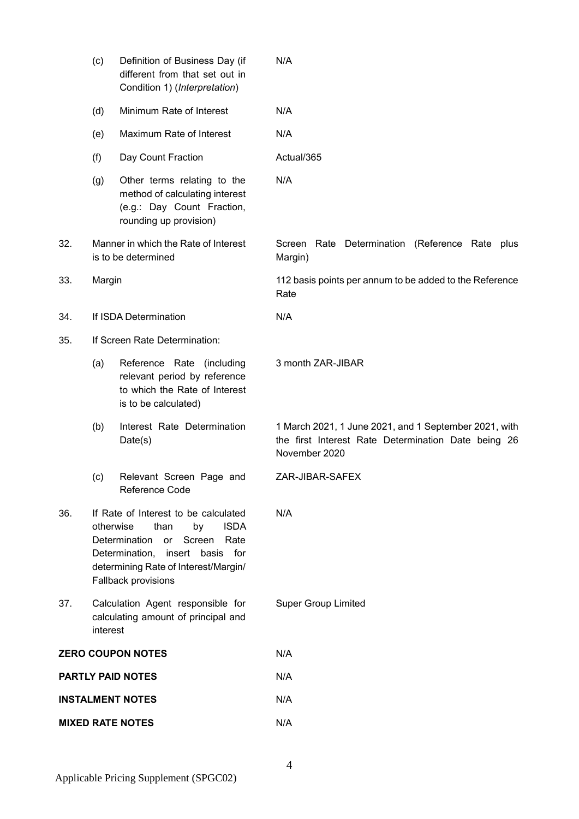|                         | (c)                                                                                  | Definition of Business Day (if<br>different from that set out in<br>Condition 1) (Interpretation)                                                                                                            | N/A                                                                                                                           |  |  |  |  |
|-------------------------|--------------------------------------------------------------------------------------|--------------------------------------------------------------------------------------------------------------------------------------------------------------------------------------------------------------|-------------------------------------------------------------------------------------------------------------------------------|--|--|--|--|
|                         | (d)                                                                                  | Minimum Rate of Interest                                                                                                                                                                                     | N/A                                                                                                                           |  |  |  |  |
|                         | (e)                                                                                  | Maximum Rate of Interest                                                                                                                                                                                     | N/A                                                                                                                           |  |  |  |  |
|                         | (f)                                                                                  | Day Count Fraction                                                                                                                                                                                           | Actual/365                                                                                                                    |  |  |  |  |
|                         | (g)                                                                                  | Other terms relating to the<br>method of calculating interest<br>(e.g.: Day Count Fraction,<br>rounding up provision)                                                                                        | N/A                                                                                                                           |  |  |  |  |
| 32.                     |                                                                                      | Manner in which the Rate of Interest<br>is to be determined                                                                                                                                                  | Screen Rate Determination<br>(Reference Rate<br>plus<br>Margin)                                                               |  |  |  |  |
| 33.                     | Margin                                                                               |                                                                                                                                                                                                              | 112 basis points per annum to be added to the Reference<br>Rate                                                               |  |  |  |  |
| 34.                     |                                                                                      | If ISDA Determination                                                                                                                                                                                        | N/A                                                                                                                           |  |  |  |  |
| 35.                     |                                                                                      | If Screen Rate Determination:                                                                                                                                                                                |                                                                                                                               |  |  |  |  |
|                         | (a)                                                                                  | Reference Rate (including<br>relevant period by reference<br>to which the Rate of Interest<br>is to be calculated)                                                                                           | 3 month ZAR-JIBAR                                                                                                             |  |  |  |  |
|                         | (b)                                                                                  | Interest Rate Determination<br>Date(s)                                                                                                                                                                       | 1 March 2021, 1 June 2021, and 1 September 2021, with<br>the first Interest Rate Determination Date being 26<br>November 2020 |  |  |  |  |
|                         | (c)                                                                                  | Relevant Screen Page and<br>Reference Code                                                                                                                                                                   | ZAR-JIBAR-SAFEX                                                                                                               |  |  |  |  |
| 36.                     | otherwise                                                                            | If Rate of Interest to be calculated<br>than<br>by<br><b>ISDA</b><br>Determination<br>Screen<br>Rate<br>or<br>Determination, insert basis for<br>determining Rate of Interest/Margin/<br>Fallback provisions | N/A                                                                                                                           |  |  |  |  |
| 37.                     | Calculation Agent responsible for<br>calculating amount of principal and<br>interest |                                                                                                                                                                                                              | <b>Super Group Limited</b>                                                                                                    |  |  |  |  |
|                         |                                                                                      | <b>ZERO COUPON NOTES</b>                                                                                                                                                                                     | N/A                                                                                                                           |  |  |  |  |
|                         |                                                                                      | <b>PARTLY PAID NOTES</b>                                                                                                                                                                                     | N/A                                                                                                                           |  |  |  |  |
| <b>INSTALMENT NOTES</b> |                                                                                      |                                                                                                                                                                                                              | N/A                                                                                                                           |  |  |  |  |
| <b>MIXED RATE NOTES</b> |                                                                                      |                                                                                                                                                                                                              | N/A                                                                                                                           |  |  |  |  |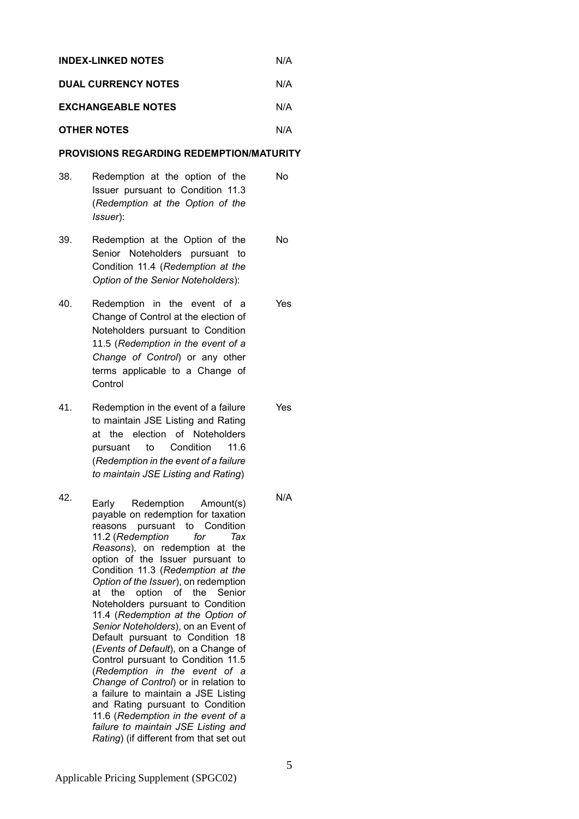| <b>INDEX-LINKED NOTES</b>  | N/A |
|----------------------------|-----|
| <b>DUAL CURRENCY NOTES</b> | N/A |

# **EXCHANGEABLE NOTES** N/A

# **OTHER NOTES** N/A

# **PROVISIONS REGARDING REDEMPTION/MATURITY**

- 38. Redemption at the option of the Issuer pursuant to Condition 11.3 (*Redemption at the Option of the Issuer*): No
- 39. Redemption at the Option of the Senior Noteholders pursuant to Condition 11.4 (*Redemption at the Option of the Senior Noteholders*): No
- 40. Redemption in the event of a Change of Control at the election of Noteholders pursuant to Condition 11.5 (*Redemption in the event of a Change of Control*) or any other terms applicable to a Change of **Control** Yes
- 41. Redemption in the event of a failure to maintain JSE Listing and Rating at the election of Noteholders pursuant to Condition 11.6 (*Redemption in the event of a failure to maintain JSE Listing and Rating*)
- 42. Early Redemption Amount(s) payable on redemption for taxation reasons pursuant to Condition 11.2 (*Redemption for Tax Reasons*), on redemption at the option of the Issuer pursuant to Condition 11.3 (*Redemption at the Option of the Issuer*), on redemption at the option of the Senior Noteholders pursuant to Condition 11.4 (*Redemption at the Option of Senior Noteholders*), on an Event of Default pursuant to Condition 18 (*Events of Default*), on a Change of Control pursuant to Condition 11.5 (*Redemption in the event of a Change of Control*) or in relation to a failure to maintain a JSE Listing and Rating pursuant to Condition 11.6 (*Redemption in the event of a failure to maintain JSE Listing and Rating*) (if different from that set out

Yes

N/A

5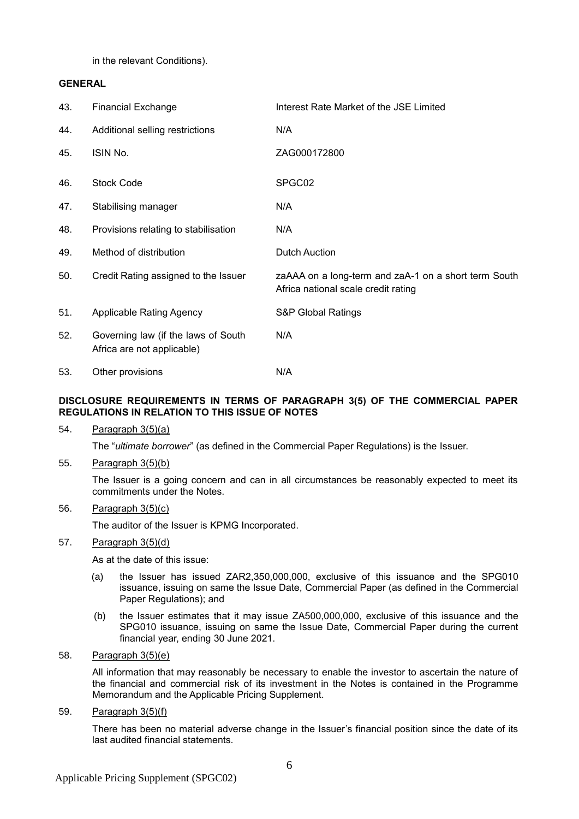in the relevant Conditions).

# **GENERAL**

| 43. | <b>Financial Exchange</b>                                         | Interest Rate Market of the JSE Limited                                                     |
|-----|-------------------------------------------------------------------|---------------------------------------------------------------------------------------------|
| 44. | Additional selling restrictions                                   | N/A                                                                                         |
| 45. | ISIN No.                                                          | ZAG000172800                                                                                |
| 46. | <b>Stock Code</b>                                                 | SPGC02                                                                                      |
| 47. | Stabilising manager                                               | N/A                                                                                         |
| 48. | Provisions relating to stabilisation                              | N/A                                                                                         |
| 49. | Method of distribution                                            | <b>Dutch Auction</b>                                                                        |
| 50. | Credit Rating assigned to the Issuer                              | zaAAA on a long-term and zaA-1 on a short term South<br>Africa national scale credit rating |
| 51. | Applicable Rating Agency                                          | <b>S&amp;P Global Ratings</b>                                                               |
| 52. | Governing law (if the laws of South<br>Africa are not applicable) | N/A                                                                                         |
| 53. | Other provisions                                                  | N/A                                                                                         |

# **DISCLOSURE REQUIREMENTS IN TERMS OF PARAGRAPH 3(5) OF THE COMMERCIAL PAPER REGULATIONS IN RELATION TO THIS ISSUE OF NOTES**

54. Paragraph 3(5)(a)

The "*ultimate borrower*" (as defined in the Commercial Paper Regulations) is the Issuer.

55. Paragraph 3(5)(b)

The Issuer is a going concern and can in all circumstances be reasonably expected to meet its commitments under the Notes.

# 56. Paragraph 3(5)(c)

The auditor of the Issuer is KPMG Incorporated.

# 57. Paragraph 3(5)(d)

As at the date of this issue:

- (a) the Issuer has issued ZAR2,350,000,000, exclusive of this issuance and the SPG010 issuance, issuing on same the Issue Date, Commercial Paper (as defined in the Commercial Paper Regulations); and
- (b) the Issuer estimates that it may issue ZA500,000,000, exclusive of this issuance and the SPG010 issuance, issuing on same the Issue Date, Commercial Paper during the current financial year, ending 30 June 2021.
- 58. Paragraph 3(5)(e)

All information that may reasonably be necessary to enable the investor to ascertain the nature of the financial and commercial risk of its investment in the Notes is contained in the Programme Memorandum and the Applicable Pricing Supplement.

59. Paragraph 3(5)(f)

There has been no material adverse change in the Issuer's financial position since the date of its last audited financial statements.